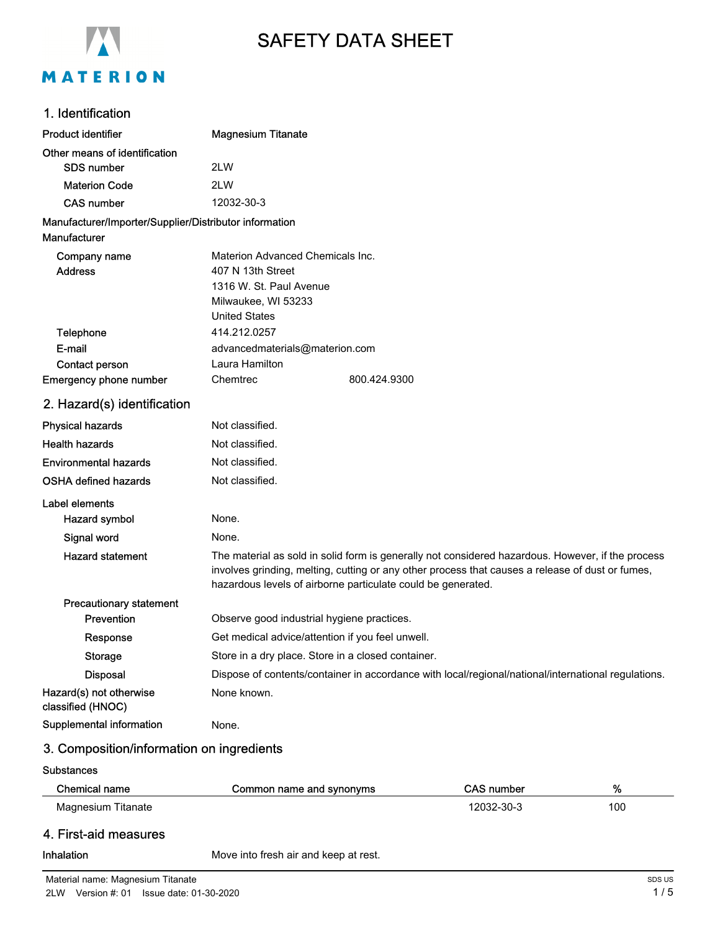

# SAFETY DATA SHEET

# 1. Identification

| <b>Product identifier</b>                              | <b>Magnesium Titanate</b>                                                                                                                                                                                                                                             |  |
|--------------------------------------------------------|-----------------------------------------------------------------------------------------------------------------------------------------------------------------------------------------------------------------------------------------------------------------------|--|
| Other means of identification                          |                                                                                                                                                                                                                                                                       |  |
| <b>SDS number</b>                                      | 2LW                                                                                                                                                                                                                                                                   |  |
| <b>Materion Code</b>                                   | 2LW                                                                                                                                                                                                                                                                   |  |
| <b>CAS number</b>                                      | 12032-30-3                                                                                                                                                                                                                                                            |  |
| Manufacturer/Importer/Supplier/Distributor information |                                                                                                                                                                                                                                                                       |  |
| Manufacturer                                           |                                                                                                                                                                                                                                                                       |  |
| Company name                                           | Materion Advanced Chemicals Inc.                                                                                                                                                                                                                                      |  |
| <b>Address</b>                                         | 407 N 13th Street                                                                                                                                                                                                                                                     |  |
|                                                        | 1316 W. St. Paul Avenue                                                                                                                                                                                                                                               |  |
|                                                        | Milwaukee, WI 53233                                                                                                                                                                                                                                                   |  |
|                                                        | <b>United States</b>                                                                                                                                                                                                                                                  |  |
| Telephone                                              | 414.212.0257                                                                                                                                                                                                                                                          |  |
| E-mail                                                 | advancedmaterials@materion.com<br>Laura Hamilton                                                                                                                                                                                                                      |  |
| Contact person<br>Emergency phone number               | Chemtrec<br>800.424.9300                                                                                                                                                                                                                                              |  |
|                                                        |                                                                                                                                                                                                                                                                       |  |
| 2. Hazard(s) identification                            |                                                                                                                                                                                                                                                                       |  |
| <b>Physical hazards</b>                                | Not classified.                                                                                                                                                                                                                                                       |  |
| <b>Health hazards</b>                                  | Not classified.                                                                                                                                                                                                                                                       |  |
| <b>Environmental hazards</b>                           | Not classified.                                                                                                                                                                                                                                                       |  |
| <b>OSHA defined hazards</b>                            | Not classified.                                                                                                                                                                                                                                                       |  |
| Label elements                                         |                                                                                                                                                                                                                                                                       |  |
| Hazard symbol                                          | None.                                                                                                                                                                                                                                                                 |  |
| Signal word                                            | None.                                                                                                                                                                                                                                                                 |  |
| <b>Hazard statement</b>                                | The material as sold in solid form is generally not considered hazardous. However, if the process<br>involves grinding, melting, cutting or any other process that causes a release of dust or fumes,<br>hazardous levels of airborne particulate could be generated. |  |
| <b>Precautionary statement</b>                         |                                                                                                                                                                                                                                                                       |  |
| Prevention                                             | Observe good industrial hygiene practices.                                                                                                                                                                                                                            |  |
| Response                                               | Get medical advice/attention if you feel unwell.                                                                                                                                                                                                                      |  |
| <b>Storage</b>                                         | Store in a dry place. Store in a closed container.                                                                                                                                                                                                                    |  |
| <b>Disposal</b>                                        | Dispose of contents/container in accordance with local/regional/national/international regulations.                                                                                                                                                                   |  |
| Hazard(s) not otherwise<br>classified (HNOC)           | None known.                                                                                                                                                                                                                                                           |  |
| Supplemental information                               | None.                                                                                                                                                                                                                                                                 |  |
| 3. Composition/information on ingredients              |                                                                                                                                                                                                                                                                       |  |
| <b>Substances</b>                                      |                                                                                                                                                                                                                                                                       |  |
|                                                        |                                                                                                                                                                                                                                                                       |  |

| Chemical name         | Common name and synonyms | CAS number | %   |
|-----------------------|--------------------------|------------|-----|
| Magnesium Titanate    |                          | 12032-30-3 | 100 |
| 4. First-aid measures |                          |            |     |

Inhalation Move into fresh air and keep at rest.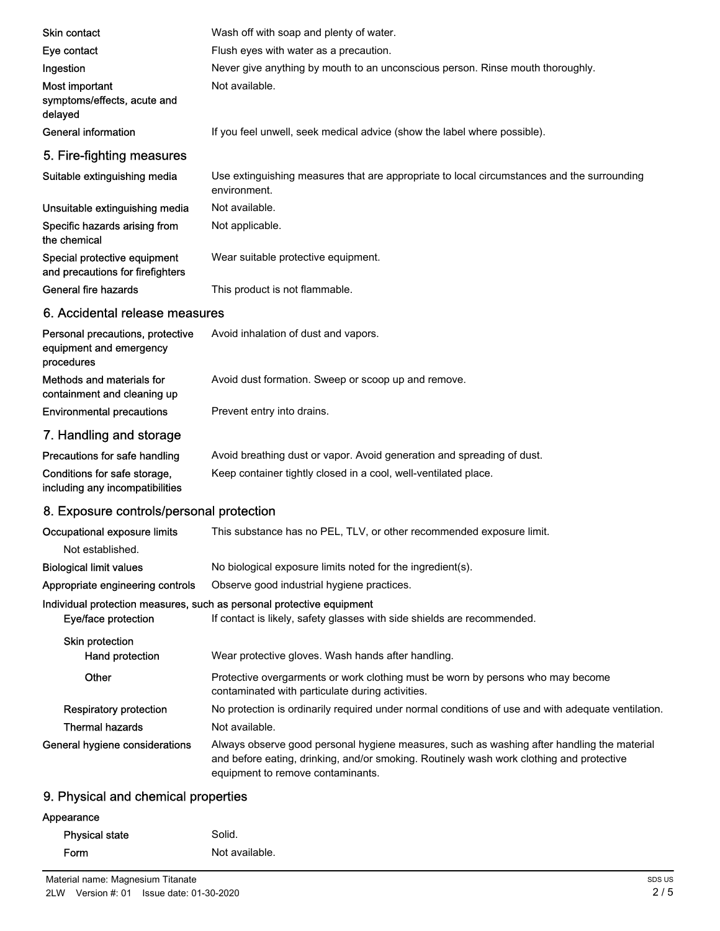| Skin contact                                                              | Wash off with soap and plenty of water.                                                                                                                                                                                     |
|---------------------------------------------------------------------------|-----------------------------------------------------------------------------------------------------------------------------------------------------------------------------------------------------------------------------|
| Eye contact                                                               | Flush eyes with water as a precaution.                                                                                                                                                                                      |
| Ingestion                                                                 | Never give anything by mouth to an unconscious person. Rinse mouth thoroughly.                                                                                                                                              |
| Most important<br>symptoms/effects, acute and<br>delayed                  | Not available.                                                                                                                                                                                                              |
| General information                                                       | If you feel unwell, seek medical advice (show the label where possible).                                                                                                                                                    |
| 5. Fire-fighting measures                                                 |                                                                                                                                                                                                                             |
| Suitable extinguishing media                                              | Use extinguishing measures that are appropriate to local circumstances and the surrounding<br>environment.                                                                                                                  |
| Unsuitable extinguishing media                                            | Not available.                                                                                                                                                                                                              |
| Specific hazards arising from<br>the chemical                             | Not applicable.                                                                                                                                                                                                             |
| Special protective equipment<br>and precautions for firefighters          | Wear suitable protective equipment.                                                                                                                                                                                         |
| General fire hazards                                                      | This product is not flammable.                                                                                                                                                                                              |
| 6. Accidental release measures                                            |                                                                                                                                                                                                                             |
| Personal precautions, protective<br>equipment and emergency<br>procedures | Avoid inhalation of dust and vapors.                                                                                                                                                                                        |
| Methods and materials for<br>containment and cleaning up                  | Avoid dust formation. Sweep or scoop up and remove.                                                                                                                                                                         |
| <b>Environmental precautions</b>                                          | Prevent entry into drains.                                                                                                                                                                                                  |
| 7. Handling and storage                                                   |                                                                                                                                                                                                                             |
| Precautions for safe handling                                             | Avoid breathing dust or vapor. Avoid generation and spreading of dust.                                                                                                                                                      |
| Conditions for safe storage,<br>including any incompatibilities           | Keep container tightly closed in a cool, well-ventilated place.                                                                                                                                                             |
| 8. Exposure controls/personal protection                                  |                                                                                                                                                                                                                             |
| Occupational exposure limits<br>Not established.                          | This substance has no PEL, TLV, or other recommended exposure limit.                                                                                                                                                        |
| <b>Biological limit values</b>                                            | No biological exposure limits noted for the ingredient(s).                                                                                                                                                                  |
| Appropriate engineering controls                                          | Observe good industrial hygiene practices.                                                                                                                                                                                  |
| Eye/face protection                                                       | Individual protection measures, such as personal protective equipment<br>If contact is likely, safety glasses with side shields are recommended.                                                                            |
| Skin protection                                                           |                                                                                                                                                                                                                             |
| Hand protection                                                           | Wear protective gloves. Wash hands after handling.                                                                                                                                                                          |
| Other                                                                     | Protective overgarments or work clothing must be worn by persons who may become<br>contaminated with particulate during activities.                                                                                         |
| <b>Respiratory protection</b>                                             | No protection is ordinarily required under normal conditions of use and with adequate ventilation.                                                                                                                          |
| <b>Thermal hazards</b>                                                    | Not available.                                                                                                                                                                                                              |
| General hygiene considerations                                            | Always observe good personal hygiene measures, such as washing after handling the material<br>and before eating, drinking, and/or smoking. Routinely wash work clothing and protective<br>equipment to remove contaminants. |
| 9. Physical and chemical properties                                       |                                                                                                                                                                                                                             |

# Appearance Physical state Solid. Form Not available.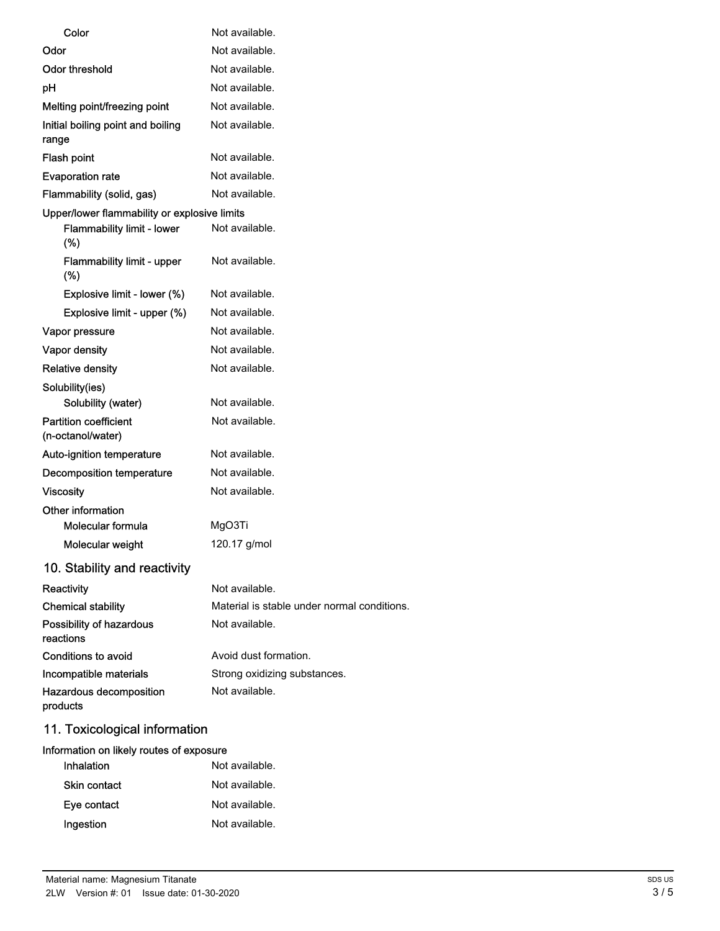| Color                                             | Not available.                              |
|---------------------------------------------------|---------------------------------------------|
| Odor                                              | Not available.                              |
| Odor threshold                                    | Not available.                              |
| рH                                                | Not available.                              |
| Melting point/freezing point                      | Not available.                              |
| Initial boiling point and boiling<br>range        | Not available.                              |
| Flash point                                       | Not available.                              |
| <b>Evaporation rate</b>                           | Not available.                              |
| Flammability (solid, gas)                         | Not available.                              |
| Upper/lower flammability or explosive limits      |                                             |
| <b>Flammability limit - lower</b><br>(%)          | Not available.                              |
| <b>Flammability limit - upper</b><br>$(\%)$       | Not available.                              |
| Explosive limit - lower (%)                       | Not available.                              |
| Explosive limit - upper (%)                       | Not available.                              |
| Vapor pressure                                    | Not available.                              |
| Vapor density                                     | Not available.                              |
| <b>Relative density</b>                           | Not available.                              |
| Solubility(ies)                                   |                                             |
| Solubility (water)                                | Not available.                              |
| <b>Partition coefficient</b><br>(n-octanol/water) | Not available.                              |
| Auto-ignition temperature                         | Not available.                              |
| Decomposition temperature                         | Not available.                              |
| <b>Viscosity</b>                                  | Not available.                              |
| Other information                                 |                                             |
| Molecular formula                                 | MgO3Ti                                      |
| Molecular weight                                  | 120.17 g/mol                                |
| 10. Stability and reactivity                      |                                             |
| Reactivity                                        | Not available.                              |
| <b>Chemical stability</b>                         | Material is stable under normal conditions. |
| Possibility of hazardous<br>reactions             | Not available.                              |
| Conditions to avoid                               | Avoid dust formation.                       |
| Incompatible materials                            | Strong oxidizing substances.                |
| Hazardous decomposition<br>products               | Not available.                              |
|                                                   |                                             |

# 11. Toxicological information

## Information on likely routes of exposure

| Inhalation          | Not available. |
|---------------------|----------------|
| <b>Skin contact</b> | Not available. |
| Eye contact         | Not available. |
| Ingestion           | Not available. |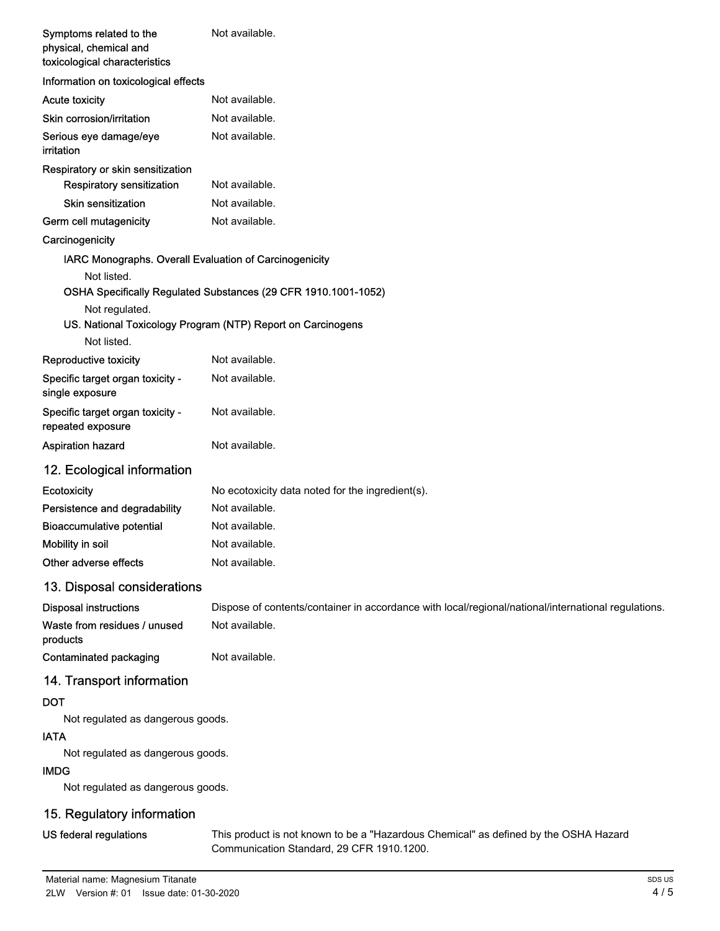| Symptoms related to the<br>physical, chemical and<br>toxicological characteristics | Not available.                                                                                      |
|------------------------------------------------------------------------------------|-----------------------------------------------------------------------------------------------------|
| Information on toxicological effects                                               |                                                                                                     |
| <b>Acute toxicity</b>                                                              | Not available.                                                                                      |
| Skin corrosion/irritation                                                          | Not available.                                                                                      |
| Serious eye damage/eye<br>irritation                                               | Not available.                                                                                      |
| Respiratory or skin sensitization                                                  |                                                                                                     |
| Respiratory sensitization                                                          | Not available.                                                                                      |
| <b>Skin sensitization</b>                                                          | Not available.                                                                                      |
| Germ cell mutagenicity                                                             | Not available.                                                                                      |
| Carcinogenicity                                                                    |                                                                                                     |
| IARC Monographs. Overall Evaluation of Carcinogenicity                             |                                                                                                     |
| Not listed.                                                                        | OSHA Specifically Regulated Substances (29 CFR 1910.1001-1052)                                      |
| Not regulated.                                                                     |                                                                                                     |
|                                                                                    | US. National Toxicology Program (NTP) Report on Carcinogens                                         |
| Not listed.                                                                        |                                                                                                     |
| Reproductive toxicity                                                              | Not available.                                                                                      |
| Specific target organ toxicity -<br>single exposure                                | Not available.                                                                                      |
| Specific target organ toxicity -<br>repeated exposure                              | Not available.                                                                                      |
| <b>Aspiration hazard</b>                                                           | Not available.                                                                                      |
| 12. Ecological information                                                         |                                                                                                     |
| Ecotoxicity                                                                        | No ecotoxicity data noted for the ingredient(s).                                                    |
| Persistence and degradability                                                      | Not available.                                                                                      |
| <b>Bioaccumulative potential</b>                                                   | Not available.                                                                                      |
| Mobility in soil                                                                   | Not available.                                                                                      |
| Other adverse effects                                                              | Not available.                                                                                      |
| 13. Disposal considerations                                                        |                                                                                                     |
| <b>Disposal instructions</b>                                                       | Dispose of contents/container in accordance with local/regional/national/international regulations. |
| Waste from residues / unused<br>products                                           | Not available.                                                                                      |
| <b>Contaminated packaging</b>                                                      | Not available.                                                                                      |
| 14. Transport information                                                          |                                                                                                     |
| <b>DOT</b>                                                                         |                                                                                                     |
| Not regulated as dangerous goods.<br><b>IATA</b>                                   |                                                                                                     |
| Not regulated as dangerous goods.                                                  |                                                                                                     |
| <b>IMDG</b>                                                                        |                                                                                                     |
| Not regulated as dangerous goods.                                                  |                                                                                                     |
| 15. Regulatory information                                                         |                                                                                                     |

# US federal regulations

This product is not known to be a "Hazardous Chemical" as defined by the OSHA Hazard Communication Standard, 29 CFR 1910.1200.